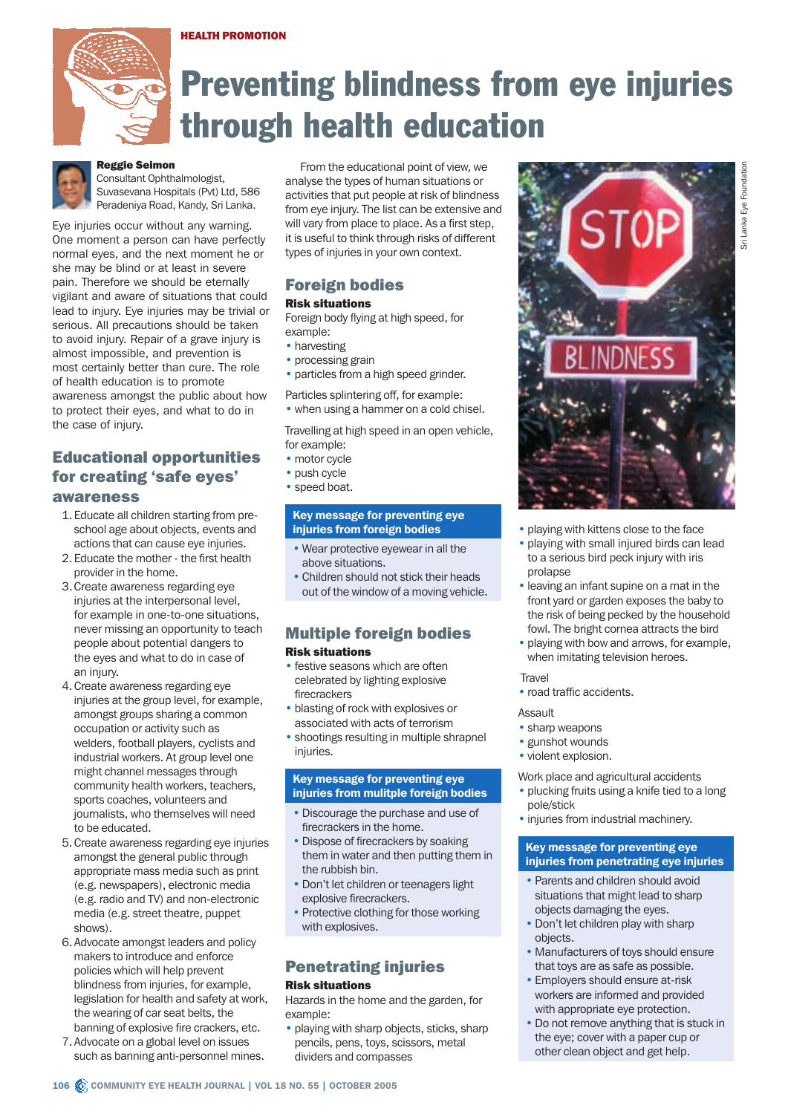#### HEALTH PROMOTION



# Preventing blindness from eye injuries through health education



# Reggie Seimon

Consultant Ophthalmologist, Suvasevana Hospitals (Pvt) Ltd, 586 Peradeniya Road, Kandy, Sri Lanka.

Eye injuries occur without any warning. One moment a person can have perfectly normal eyes, and the next moment he or she may be blind or at least in severe pain. Therefore we should be eternally vigilant and aware of situations that could lead to injury. Eye injuries may be trivial or serious. All precautions should be taken to avoid injury. Repair of a grave injury is almost impossible, and prevention is most certainly better than cure. The role of health education is to promote awareness amongst the public about how to protect their eyes, and what to do in the case of injury.

# Educational opportunities for creating 'safe eyes' awareness

- 1.Educate all children starting from preschool age about objects, events and actions that can cause eye injuries.
- 2.Educate the mother the first health provider in the home.
- 3.Create awareness regarding eye injuries at the interpersonal level, for example in one-to-one situations, never missing an opportunity to teach people about potential dangers to the eyes and what to do in case of an injury.
- 4.Create awareness regarding eye injuries at the group level, for example, amongst groups sharing a common occupation or activity such as welders, football players, cyclists and industrial workers. At group level one might channel messages through community health workers, teachers, sports coaches, volunteers and journalists, who themselves will need to be educated.
- 5.Create awareness regarding eye injuries amongst the general public through appropriate mass media such as print (e.g. newspapers), electronic media (e.g. radio and TV) and non-electronic media (e.g. street theatre, puppet shows).
- 6.Advocate amongst leaders and policy makers to introduce and enforce policies which will help prevent blindness from injuries, for example, legislation for health and safety at work, the wearing of car seat belts, the banning of explosive fire crackers, etc.
- 7.Advocate on a global level on issues such as banning anti-personnel mines.

From the educational point of view, we analyse the types of human situations or activities that put people at risk of blindness from eye injury. The list can be extensive and will vary from place to place. As a first step, it is useful to think through risks of different types of injuries in your own context.

# Foreign bodies

## Risk situations

Foreign body flying at high speed, for example:

- harvesting
- processing grain
- particles from a high speed grinder.

Particles splintering off, for example: • when using a hammer on a cold chisel.

Travelling at high speed in an open vehicle, for example:

- motor cycle
- push cycle
- speed boat.

## Key message for preventing eye injuries from foreign bodies

- Wear protective eyewear in all the above situations.
- Children should not stick their heads out of the window of a moving vehicle.

## Multiple foreign bodies Risk situations

- festive seasons which are often celebrated by lighting explosive firecrackers
- blasting of rock with explosives or associated with acts of terrorism
- shootings resulting in multiple shrapnel injuries.

## Key message for preventing eye injuries from mulitple foreign bodies

- Discourage the purchase and use of firecrackers in the home.
- Dispose of firecrackers by soaking them in water and then putting them in the rubbish bin.
- Don't let children or teenagers light explosive firecrackers.
- Protective clothing for those working with explosives.

# Penetrating injuries

## Risk situations

Hazards in the home and the garden, for example:

• playing with sharp objects, sticks, sharp pencils, pens, toys, scissors, metal dividers and compasses



- playing with kittens close to the face
- playing with small injured birds can lead to a serious bird peck injury with iris prolapse
- leaving an infant supine on a mat in the front yard or garden exposes the baby to the risk of being pecked by the household fowl. The bright cornea attracts the bird
- playing with bow and arrows, for example, when imitating television heroes.

#### **Travel**

• road traffic accidents.

## Assault

- sharp weapons
- gunshot wounds
- violent explosion.

Work place and agricultural accidents

- plucking fruits using a knife tied to a long pole/stick
- injuries from industrial machinery.

## Key message for preventing eye injuries from penetrating eye injuries

- Parents and children should avoid situations that might lead to sharp objects damaging the eyes.
- Don't let children play with sharp objects.
- Manufacturers of toys should ensure that toys are as safe as possible.
- Employers should ensure at-risk workers are informed and provided with appropriate eye protection.
- Do not remove anything that is stuck in the eye; cover with a paper cup or other clean object and get help.